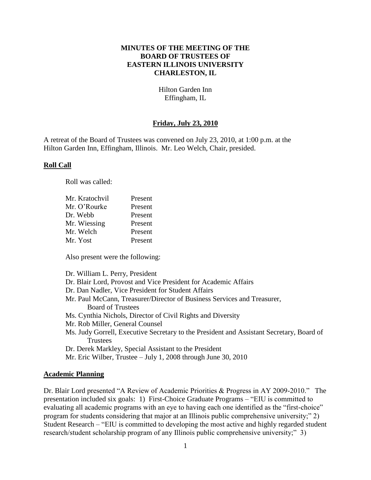### **MINUTES OF THE MEETING OF THE BOARD OF TRUSTEES OF EASTERN ILLINOIS UNIVERSITY CHARLESTON, IL**

Hilton Garden Inn Effingham, IL

# **Friday, July 23, 2010**

A retreat of the Board of Trustees was convened on July 23, 2010, at 1:00 p.m. at the Hilton Garden Inn, Effingham, Illinois. Mr. Leo Welch, Chair, presided.

#### **Roll Call**

Roll was called:

| Mr. Kratochvil | Present |
|----------------|---------|
| Mr. O'Rourke   | Present |
| Dr. Webb       | Present |
| Mr. Wiessing   | Present |
| Mr. Welch      | Present |
| Mr. Yost       | Present |

Also present were the following:

| Dr. William L. Perry, President                                                          |
|------------------------------------------------------------------------------------------|
| Dr. Blair Lord, Provost and Vice President for Academic Affairs                          |
| Dr. Dan Nadler, Vice President for Student Affairs                                       |
| Mr. Paul McCann, Treasurer/Director of Business Services and Treasurer,                  |
| <b>Board of Trustees</b>                                                                 |
| Ms. Cynthia Nichols, Director of Civil Rights and Diversity                              |
| Mr. Rob Miller, General Counsel                                                          |
| Ms. Judy Gorrell, Executive Secretary to the President and Assistant Secretary, Board of |
| <b>Trustees</b>                                                                          |
| Dr. Derek Markley, Special Assistant to the President                                    |
| Mr. Eric Wilber, Trustee – July 1, 2008 through June 30, 2010                            |

#### **Academic Planning**

Dr. Blair Lord presented "A Review of Academic Priorities & Progress in AY 2009-2010." The presentation included six goals: 1) First-Choice Graduate Programs – "EIU is committed to evaluating all academic programs with an eye to having each one identified as the "first-choice" program for students considering that major at an Illinois public comprehensive university;" 2) Student Research – "EIU is committed to developing the most active and highly regarded student research/student scholarship program of any Illinois public comprehensive university;" 3)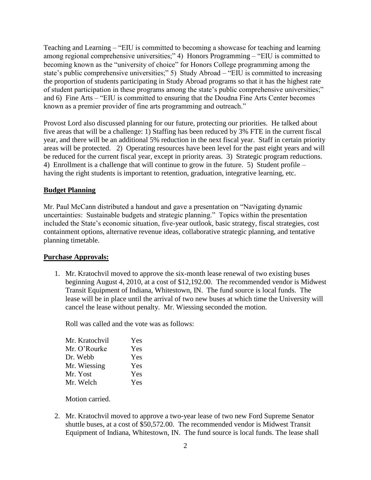Teaching and Learning – "EIU is committed to becoming a showcase for teaching and learning among regional comprehensive universities;" 4) Honors Programming – "EIU is committed to becoming known as the "university of choice" for Honors College programming among the state's public comprehensive universities;" 5) Study Abroad – "EIU is committed to increasing the proportion of students participating in Study Abroad programs so that it has the highest rate of student participation in these programs among the state's public comprehensive universities;" and 6) Fine Arts – "EIU is committed to ensuring that the Doudna Fine Arts Center becomes known as a premier provider of fine arts programming and outreach."

Provost Lord also discussed planning for our future, protecting our priorities. He talked about five areas that will be a challenge: 1) Staffing has been reduced by 3% FTE in the current fiscal year, and there will be an additional 5% reduction in the next fiscal year. Staff in certain priority areas will be protected. 2) Operating resources have been level for the past eight years and will be reduced for the current fiscal year, except in priority areas. 3) Strategic program reductions. 4) Enrollment is a challenge that will continue to grow in the future. 5) Student profile – having the right students is important to retention, graduation, integrative learning, etc.

### **Budget Planning**

Mr. Paul McCann distributed a handout and gave a presentation on "Navigating dynamic uncertainties: Sustainable budgets and strategic planning." Topics within the presentation included the State's economic situation, five-year outlook, basic strategy, fiscal strategies, cost containment options, alternative revenue ideas, collaborative strategic planning, and tentative planning timetable.

#### **Purchase Approvals:**

1. Mr. Kratochvil moved to approve the six-month lease renewal of two existing buses beginning August 4, 2010, at a cost of \$12,192.00. The recommended vendor is Midwest Transit Equipment of Indiana, Whitestown, IN. The fund source is local funds. The lease will be in place until the arrival of two new buses at which time the University will cancel the lease without penalty. Mr. Wiessing seconded the motion.

Roll was called and the vote was as follows:

| Mr. Kratochvil | Yes |
|----------------|-----|
| Mr. O'Rourke   | Yes |
| Dr. Webb       | Yes |
| Mr. Wiessing   | Yes |
| Mr. Yost       | Yes |
| Mr. Welch      | Yes |

Motion carried.

2. Mr. Kratochvil moved to approve a two-year lease of two new Ford Supreme Senator shuttle buses, at a cost of \$50,572.00. The recommended vendor is Midwest Transit Equipment of Indiana, Whitestown, IN. The fund source is local funds. The lease shall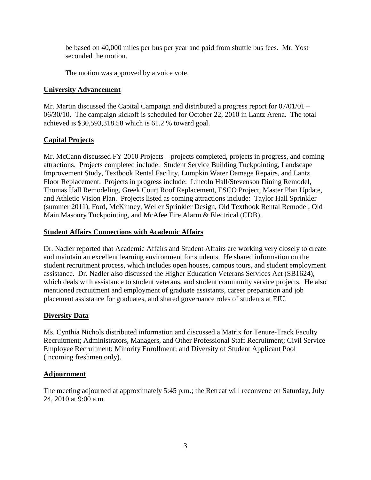be based on 40,000 miles per bus per year and paid from shuttle bus fees. Mr. Yost seconded the motion.

The motion was approved by a voice vote.

### **University Advancement**

Mr. Martin discussed the Capital Campaign and distributed a progress report for 07/01/01 – 06/30/10. The campaign kickoff is scheduled for October 22, 2010 in Lantz Arena. The total achieved is \$30,593,318.58 which is 61.2 % toward goal.

# **Capital Projects**

Mr. McCann discussed FY 2010 Projects – projects completed, projects in progress, and coming attractions. Projects completed include: Student Service Building Tuckpointing, Landscape Improvement Study, Textbook Rental Facility, Lumpkin Water Damage Repairs, and Lantz Floor Replacement. Projects in progress include: Lincoln Hall/Stevenson Dining Remodel, Thomas Hall Remodeling, Greek Court Roof Replacement, ESCO Project, Master Plan Update, and Athletic Vision Plan. Projects listed as coming attractions include: Taylor Hall Sprinkler (summer 2011), Ford, McKinney, Weller Sprinkler Design, Old Textbook Rental Remodel, Old Main Masonry Tuckpointing, and McAfee Fire Alarm & Electrical (CDB).

# **Student Affairs Connections with Academic Affairs**

Dr. Nadler reported that Academic Affairs and Student Affairs are working very closely to create and maintain an excellent learning environment for students. He shared information on the student recruitment process, which includes open houses, campus tours, and student employment assistance. Dr. Nadler also discussed the Higher Education Veterans Services Act (SB1624), which deals with assistance to student veterans, and student community service projects. He also mentioned recruitment and employment of graduate assistants, career preparation and job placement assistance for graduates, and shared governance roles of students at EIU.

# **Diversity Data**

Ms. Cynthia Nichols distributed information and discussed a Matrix for Tenure-Track Faculty Recruitment; Administrators, Managers, and Other Professional Staff Recruitment; Civil Service Employee Recruitment; Minority Enrollment; and Diversity of Student Applicant Pool (incoming freshmen only).

# **Adjournment**

The meeting adjourned at approximately 5:45 p.m.; the Retreat will reconvene on Saturday, July 24, 2010 at 9:00 a.m.